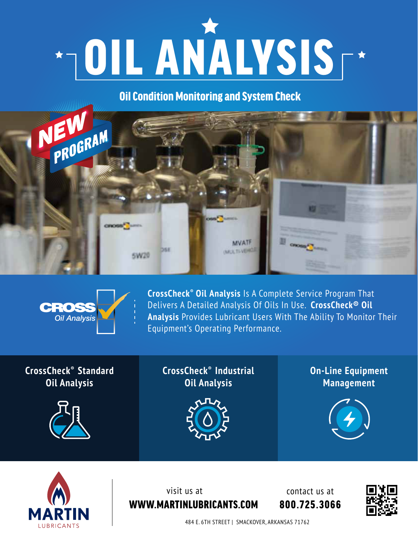

Oil Condition Monitoring and System Check





**CrossCheck® Oil Analysis** Is A Complete Service Program That Delivers A Detailed Analysis Of Oils In Use. **CrossCheck® Oil Analysis** Provides Lubricant Users With The Ability To Monitor Their Equipment's Operating Performance.

## **CrossCheck®****Standard Oil Analysis**



**CrossCheck®****Industrial Oil Analysis**



**On-Line Equipment Management**





WWW.MARTINLUBRICANTS.COM visit us at

800.725.3066 contact us at



484 E. 6TH STREET | SMACKOVER, ARKANSAS 71762